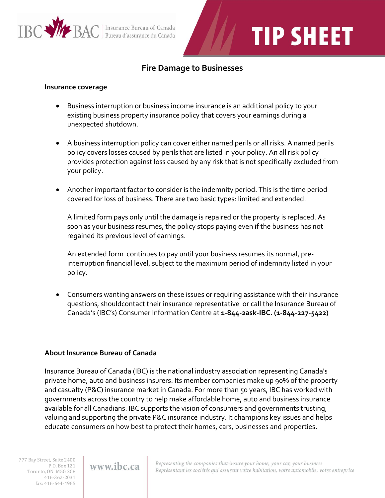

## **TIP SHEET**

## **Fire Damage to Businesses**

## **Insurance coverage**

- Business interruption or business income insurance is an additional policy to your existing business property insurance policy that covers your earnings during a unexpected shutdown.
- A business interruption policy can cover either named perils or all risks. A named perils policy covers losses caused by perils that are listed in your policy. An all risk policy provides protection against loss caused by any risk that is not specifically excluded from your policy.
- Another important factor to consider is the indemnity period. This is the time period covered for loss of business. There are two basic types: limited and extended.

A limited form pays only until the damage is repaired or the property is replaced. As soon as your business resumes, the policy stops paying even if the business has not regained its previous level of earnings.

An extended form continues to pay until your business resumes its normal, preinterruption financial level, subject to the maximum period of indemnity listed in your policy.

 Consumers wanting answers on these issues or requiring assistance with their insurance questions, shouldcontact their insurance representative or call the Insurance Bureau of Canada's (IBC's) Consumer Information Centre at **1-844-2ask-IBC. (1-844-227-5422)**

## **About Insurance Bureau of Canada**

Insurance Bureau of Canada (IBC) is the national industry association representing Canada's private home, auto and business insurers. Its member companies make up 90% of the property and casualty (P&C) insurance market in Canada. For more than 50 years, IBC has worked with governments across the country to help make affordable home, auto and business insurance available for all Canadians. IBC supports the vision of consumers and governments trusting, valuing and supporting the private P&C insurance industry. It champions key issues and helps educate consumers on how best to protect their homes, cars, businesses and properties.

777 Bay Street, Suite 2400 P.O. Box 121 Toronto, ON M5G 2C8 416-362-2031 fax: 416-644-4965

www.ibc.ca

Representing the companies that insure your home, your car, your business Représentant les sociétés qui assurent votre habitation, votre automobile, votre entreprise